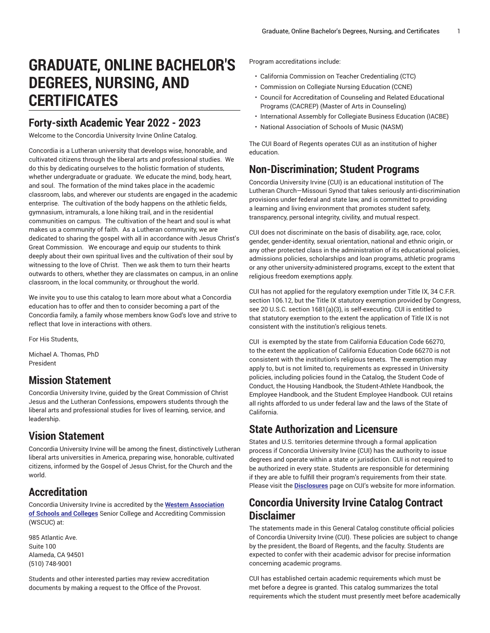# **GRADUATE, ONLINE BACHELOR'S DEGREES, NURSING, AND CERTIFICATES**

# **Forty-sixth Academic Year 2022 - 2023**

Welcome to the Concordia University Irvine Online Catalog.

Concordia is a Lutheran university that develops wise, honorable, and cultivated citizens through the liberal arts and professional studies. We do this by dedicating ourselves to the holistic formation of students, whether undergraduate or graduate. We educate the mind, body, heart, and soul. The formation of the mind takes place in the academic classroom, labs, and wherever our students are engaged in the academic enterprise. The cultivation of the body happens on the athletic fields, gymnasium, intramurals, a lone hiking trail, and in the residential communities on campus. The cultivation of the heart and soul is what makes us a community of faith. As a Lutheran community, we are dedicated to sharing the gospel with all in accordance with Jesus Christ's Great Commission. We encourage and equip our students to think deeply about their own spiritual lives and the cultivation of their soul by witnessing to the love of Christ. Then we ask them to turn their hearts outwards to others, whether they are classmates on campus, in an online classroom, in the local community, or throughout the world.

We invite you to use this catalog to learn more about what a Concordia education has to offer and then to consider becoming a part of the Concordia family, a family whose members know God's love and strive to reflect that love in interactions with others.

For His Students,

Michael A. Thomas, PhD President

### **Mission Statement**

Concordia University Irvine, guided by the Great Commission of Christ Jesus and the Lutheran Confessions, empowers students through the liberal arts and professional studies for lives of learning, service, and leadership.

# **Vision Statement**

Concordia University Irvine will be among the finest, distinctively Lutheran liberal arts universities in America, preparing wise, honorable, cultivated citizens, informed by the Gospel of Jesus Christ, for the Church and the world.

# **Accreditation**

Concordia University Irvine is accredited by the **Western [Association](https://www.wscuc.org/) [of Schools and Colleges](https://www.wscuc.org/)** Senior College and Accrediting Commission (WSCUC) at:

985 Atlantic Ave. Suite 100 Alameda, CA 94501 (510) 748-9001

Students and other interested parties may review accreditation documents by making a request to the Office of the Provost.

Program accreditations include:

- California Commission on Teacher Credentialing (CTC)
- Commission on Collegiate Nursing Education (CCNE)
- Council for Accreditation of Counseling and Related Educational Programs (CACREP) (Master of Arts in Counseling)
- International Assembly for Collegiate Business Education (IACBE)
- National Association of Schools of Music (NASM)

The CUI Board of Regents operates CUI as an institution of higher education.

### **Non-Discrimination; Student Programs**

Concordia University Irvine (CUI) is an educational institution of The Lutheran Church—Missouri Synod that takes seriously anti-discrimination provisions under federal and state law, and is committed to providing a learning and living environment that promotes student safety, transparency, personal integrity, civility, and mutual respect.

CUI does not discriminate on the basis of disability, age, race, color, gender, gender-identity, sexual orientation, national and ethnic origin, or any other protected class in the administration of its educational policies, admissions policies, scholarships and loan programs, athletic programs or any other university-administered programs, except to the extent that religious freedom exemptions apply.

CUI has not applied for the regulatory exemption under Title IX, 34 C.F.R. section 106.12, but the Title IX statutory exemption provided by Congress, see 20 U.S.C. section 1681(a)(3), is self-executing. CUI is entitled to that statutory exemption to the extent the application of Title IX is not consistent with the institution's religious tenets.

CUI is exempted by the state from California Education Code 66270, to the extent the application of California Education Code 66270 is not consistent with the institution's religious tenets. The exemption may apply to, but is not limited to, requirements as expressed in University policies, including policies found in the Catalog, the Student Code of Conduct, the Housing Handbook, the Student-Athlete Handbook, the Employee Handbook, and the Student Employee Handbook. CUI retains all rights afforded to us under federal law and the laws of the State of California.

# **State Authorization and Licensure**

States and U.S. territories determine through a formal application process if Concordia University Irvine (CUI) has the authority to issue degrees and operate within a state or jurisdiction. CUI is not required to be authorized in every state. Students are responsible for determining if they are able to fulfill their program's requirements from their state. Please visit the **[Disclosures](https://www.cui.edu/studentlife/registrar/disclosures/)** page on CUI's website for more information.

# **Concordia University Irvine Catalog Contract Disclaimer**

The statements made in this General Catalog constitute official policies of Concordia University Irvine (CUI). These policies are subject to change by the president, the Board of Regents, and the faculty. Students are expected to confer with their academic advisor for precise information concerning academic programs.

CUI has established certain academic requirements which must be met before a degree is granted. This catalog summarizes the total requirements which the student must presently meet before academically